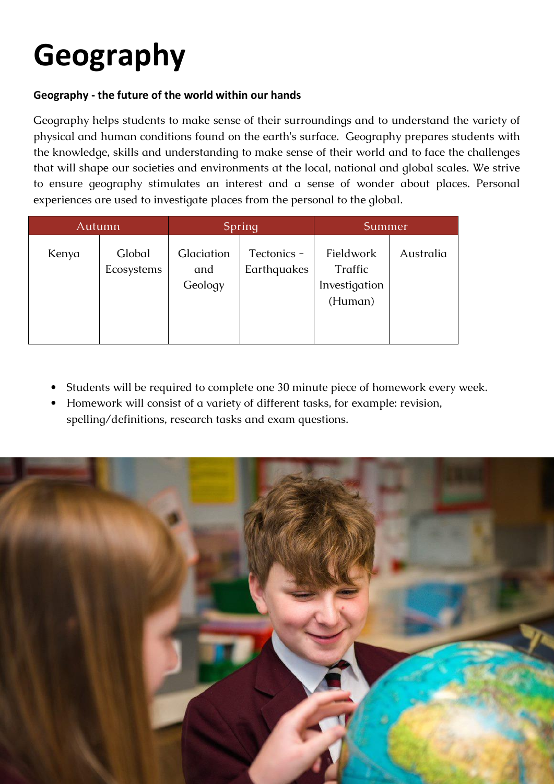## **Geography**

## **Geography - the future of the world within our hands**

Geography helps students to make sense of their surroundings and to understand the variety of physical and human conditions found on the earth's surface. Geography prepares students with the knowledge, skills and understanding to make sense of their world and to face the challenges that will shape our societies and environments at the local, national and global scales. We strive to ensure geography stimulates an interest and a sense of wonder about places. Personal experiences are used to investigate places from the personal to the global.

| Autumn |                      | Spring                       |                            | Summer                                           |           |
|--------|----------------------|------------------------------|----------------------------|--------------------------------------------------|-----------|
| Kenya  | Global<br>Ecosystems | Glaciation<br>and<br>Geology | Tectonics -<br>Earthquakes | Fieldwork<br>Traffic<br>Investigation<br>(Human) | Australia |

- Students will be required to complete one 30 minute piece of homework every week.
- Homework will consist of a variety of different tasks, for example: revision, spelling/definitions, research tasks and exam questions.

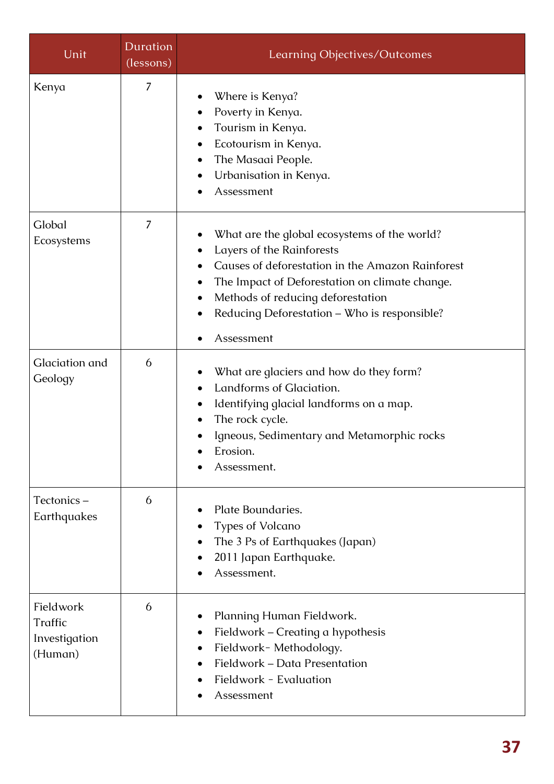| Unit                                             | <b>Duration</b><br>(lessons) | Learning Objectives/Outcomes                                                                                                                                                                                                                                                       |  |
|--------------------------------------------------|------------------------------|------------------------------------------------------------------------------------------------------------------------------------------------------------------------------------------------------------------------------------------------------------------------------------|--|
| Kenya                                            | 7                            | Where is Kenya?<br>Poverty in Kenya.<br>Tourism in Kenya.<br>Ecotourism in Kenya.<br>The Masaai People.<br>Urbanisation in Kenya.<br>Assessment                                                                                                                                    |  |
| Global<br>Ecosystems                             | 7                            | What are the global ecosystems of the world?<br>Layers of the Rainforests<br>Causes of deforestation in the Amazon Rainforest<br>The Impact of Deforestation on climate change.<br>Methods of reducing deforestation<br>Reducing Deforestation - Who is responsible?<br>Assessment |  |
| Glaciation and<br>Geology                        | 6                            | What are glaciers and how do they form?<br>Landforms of Glaciation.<br>Identifying glacial landforms on a map.<br>The rock cycle.<br>Igneous, Sedimentary and Metamorphic rocks<br>Erosion.<br>Assessment.                                                                         |  |
| Tectonics-<br>Earthquakes                        | 6                            | Plate Boundaries.<br><b>Types of Volcano</b><br>The 3 Ps of Earthquakes (Japan)<br>2011 Japan Earthquake.<br>Assessment.                                                                                                                                                           |  |
| Fieldwork<br>Traffic<br>Investigation<br>(Human) | 6                            | Planning Human Fieldwork.<br>Fieldwork - Creating a hypothesis<br>Fieldwork-Methodology.<br>Fieldwork - Data Presentation<br>Fieldwork - Evaluation<br>Assessment                                                                                                                  |  |